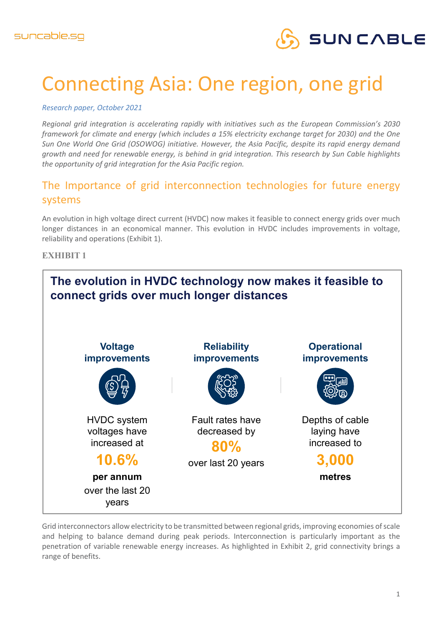

# Connecting Asia: One region, one grid

*Research paper, October 2021*

*Regional grid integration is accelerating rapidly with initiatives such as the European Commission's 2030 framework for climate and energy (which includes a 15% electricity exchange target for 2030) and the One Sun One World One Grid (OSOWOG) initiative. However, the Asia Pacific, despite its rapid energy demand growth and need for renewable energy, is behind in grid integration. This research by Sun Cable highlights the opportunity of grid integration for the Asia Pacific region.* 

## The Importance of grid interconnection technologies for future energy systems

An evolution in high voltage direct current (HVDC) now makes it feasible to connect energy grids over much longer distances in an economical manner. This evolution in HVDC includes improvements in voltage, reliability and operations (Exhibit 1).

#### **EXHIBIT 1**



Grid interconnectors allow electricity to be transmitted between regional grids, improving economies of scale and helping to balance demand during peak periods. Interconnection is particularly important as the penetration of variable renewable energy increases. As highlighted in Exhibit 2, grid connectivity brings a range of benefits.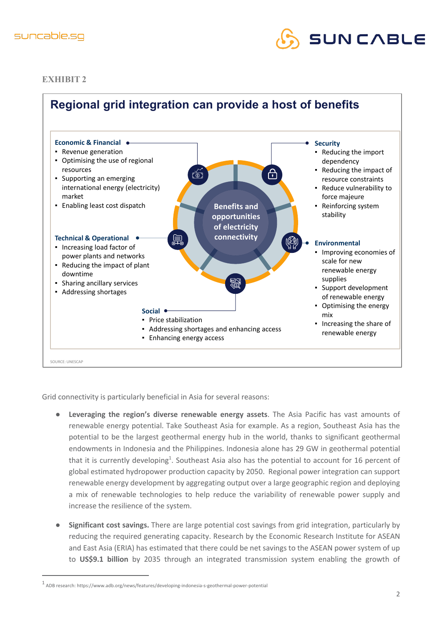



**EXHIBIT 2**



Grid connectivity is particularly beneficial in Asia for several reasons:

- **Leveraging the region's diverse renewable energy assets**. The Asia Pacific has vast amounts of renewable energy potential. Take Southeast Asia for example. As a region, Southeast Asia has the potential to be the largest geothermal energy hub in the world, thanks to significant geothermal endowments in Indonesia and the Philippines. Indonesia alone has 29 GW in geothermal potential that it is currently developing<sup>1</sup>. Southeast Asia also has the potential to account for 16 percent of global estimated hydropower production capacity by 2050. Regional power integration can support renewable energy development by aggregating output over a large geographic region and deploying a mix of renewable technologies to help reduce the variability of renewable power supply and increase the resilience of the system.
- **Significant cost savings.** There are large potential cost savings from grid integration, particularly by reducing the required generating capacity. Research by the Economic Research Institute for ASEAN and East Asia (ERIA) has estimated that there could be net savings to the ASEAN power system of up to **US\$9.1 billion** by 2035 through an integrated transmission system enabling the growth of

 $1$  ADB research: https://www.adb.org/news/features/developing-indonesia-s-geothermal-power-potential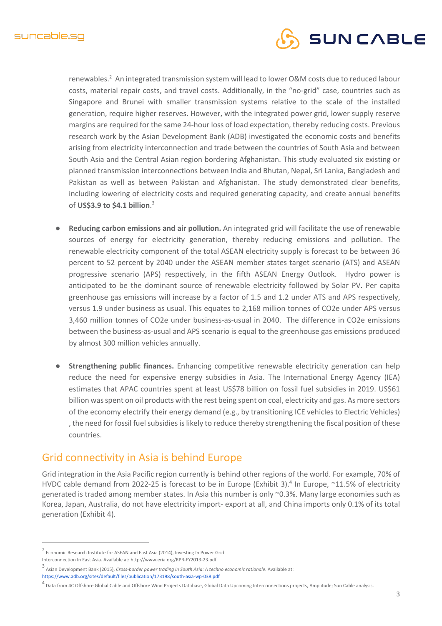

renewables.<sup>2</sup> An integrated transmission system will lead to lower O&M costs due to reduced labour costs, material repair costs, and travel costs. Additionally, in the "no-grid" case, countries such as Singapore and Brunei with smaller transmission systems relative to the scale of the installed generation, require higher reserves. However, with the integrated power grid, lower supply reserve margins are required for the same 24-hour loss of load expectation, thereby reducing costs. Previous research work by the Asian Development Bank (ADB) investigated the economic costs and benefits arising from electricity interconnection and trade between the countries of South Asia and between South Asia and the Central Asian region bordering Afghanistan. This study evaluated six existing or planned transmission interconnections between India and Bhutan, Nepal, Sri Lanka, Bangladesh and Pakistan as well as between Pakistan and Afghanistan. The study demonstrated clear benefits, including lowering of electricity costs and required generating capacity, and create annual benefits of **US\$3.9 to \$4.1 billion**. 3

- **Reducing carbon emissions and air pollution.** An integrated grid will facilitate the use of renewable sources of energy for electricity generation, thereby reducing emissions and pollution. The renewable electricity component of the total ASEAN electricity supply is forecast to be between 36 percent to 52 percent by 2040 under the ASEAN member states target scenario (ATS) and ASEAN progressive scenario (APS) respectively, in the fifth ASEAN Energy Outlook. Hydro power is anticipated to be the dominant source of renewable electricity followed by Solar PV. Per capita greenhouse gas emissions will increase by a factor of 1.5 and 1.2 under ATS and APS respectively, versus 1.9 under business as usual. This equates to 2,168 million tonnes of CO2e under APS versus 3,460 million tonnes of CO2e under business-as-usual in 2040. The difference in CO2e emissions between the business-as-usual and APS scenario is equal to the greenhouse gas emissions produced by almost 300 million vehicles annually.
- **Strengthening public finances.** Enhancing competitive renewable electricity generation can help reduce the need for expensive energy subsidies in Asia. The International Energy Agency (IEA) estimates that APAC countries spent at least US\$78 billion on fossil fuel subsidies in 2019. US\$61 billion was spent on oil products with the rest being spent on coal, electricity and gas. As more sectors of the economy electrify their energy demand (e.g., by transitioning ICE vehicles to Electric Vehicles) , the need for fossil fuel subsidies is likely to reduce thereby strengthening the fiscal position of these countries.

### Grid connectivity in Asia is behind Europe

Grid integration in the Asia Pacific region currently is behind other regions of the world. For example, 70% of HVDC cable demand from 2022-25 is forecast to be in Europe (Exhibit 3).<sup>4</sup> In Europe,  $\sim$ 11.5% of electricity generated is traded among member states. In Asia this number is only ~0.3%. Many large economies such as Korea, Japan, Australia, do not have electricity import- export at all, and China imports only 0.1% of its total generation (Exhibit 4).

<sup>2</sup> Economic Research Institute for ASEAN and East Asia (2014), Investing In Power Grid

Interconnection In East Asia. Available at: http://www.eria.org/RPR-FY2013-23.pdf

<sup>3</sup> Asian Development Bank (2015), *Cross-border power trading in South Asia: A techno economic rationale*. Available at: https://www.adb.org/sites/default/files/publication/173198/south-asia-wp-038.pdf

<sup>4</sup> Data from 4C Offshore Global Cable and Offshore Wind Projects Database, Global Data Upcoming Interconnections projects, Amplitude; Sun Cable analysis.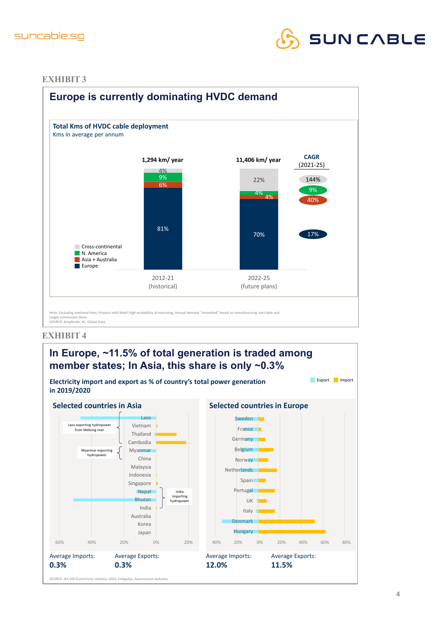



#### **EXHIBIT 3**



#### **EXHIBIT 4**

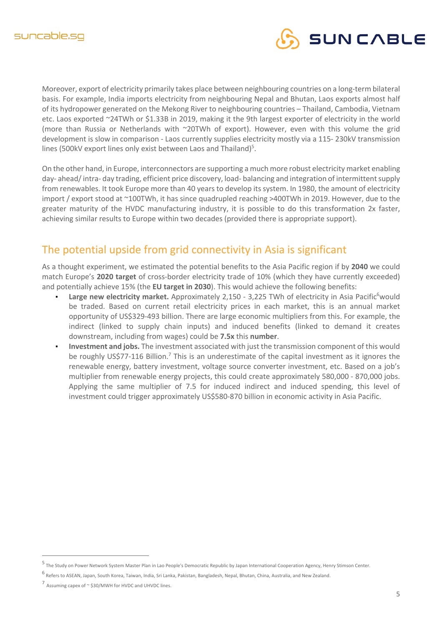

Moreover, export of electricity primarily takes place between neighbouring countries on a long-term bilateral basis. For example, India imports electricity from neighbouring Nepal and Bhutan, Laos exports almost half of its hydropower generated on the Mekong River to neighbouring countries – Thailand, Cambodia, Vietnam etc. Laos exported ~24TWh or \$1.33B in 2019, making it the 9th largest exporter of electricity in the world (more than Russia or Netherlands with ~20TWh of export). However, even with this volume the grid development is slow in comparison - Laos currently supplies electricity mostly via a 115- 230kV transmission lines (500kV export lines only exist between Laos and Thailand) $5$ .

On the other hand, in Europe, interconnectors are supporting a much more robust electricity market enabling day- ahead/ intra- day trading, efficient price discovery, load- balancing and integration of intermittent supply from renewables. It took Europe more than 40 years to develop its system. In 1980, the amount of electricity import / export stood at ~100TWh, it has since quadrupled reaching >400TWh in 2019. However, due to the greater maturity of the HVDC manufacturing industry, it is possible to do this transformation 2x faster, achieving similar results to Europe within two decades (provided there is appropriate support).

## The potential upside from grid connectivity in Asia is significant

As a thought experiment, we estimated the potential benefits to the Asia Pacific region if by **2040** we could match Europe's **2020 target** of cross-border electricity trade of 10% (which they have currently exceeded) and potentially achieve 15% (the **EU target in 2030**). This would achieve the following benefits:

- **Large new electricity market.** Approximately 2,150 3,225 TWh of electricity in Asia Pacific<sup>6</sup>would be traded. Based on current retail electricity prices in each market, this is an annual market opportunity of US\$329-493 billion. There are large economic multipliers from this. For example, the indirect (linked to supply chain inputs) and induced benefits (linked to demand it creates downstream, including from wages) could be **7.5x** this **number**.
- **Investment and jobs.** The investment associated with just the transmission component of this would be roughly US\$77-116 Billion.<sup>7</sup> This is an underestimate of the capital investment as it ignores the renewable energy, battery investment, voltage source converter investment, etc. Based on a job's multiplier from renewable energy projects, this could create approximately 580,000 - 870,000 jobs. Applying the same multiplier of 7.5 for induced indirect and induced spending, this level of investment could trigger approximately US\$580-870 billion in economic activity in Asia Pacific.

<sup>5</sup> The Study on Power Network System Master Plan in Lao People's Democratic Republic by Japan International Cooperation Agency, Henry Stimson Center.

<sup>6</sup> Refers to ASEAN, Japan, South Korea, Taiwan, India, Sri Lanka, Pakistan, Bangladesh, Nepal, Bhutan, China, Australia, and New Zealand.

<sup>7</sup> Assuming capex of ~ \$30/MWH for HVDC and UHVDC lines.